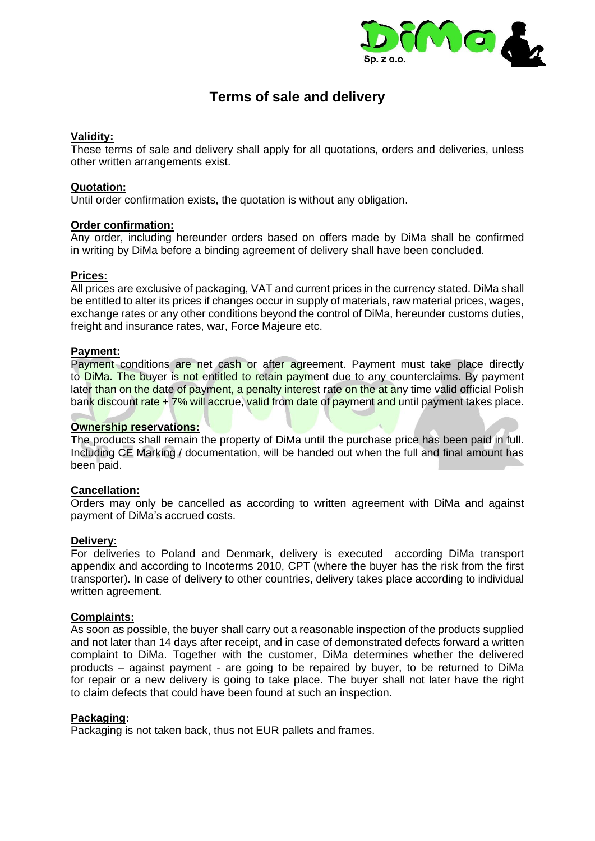

# **Terms of sale and delivery**

# **Validity:**

These terms of sale and delivery shall apply for all quotations, orders and deliveries, unless other written arrangements exist.

## **Quotation:**

Until order confirmation exists, the quotation is without any obligation.

## **Order confirmation:**

Any order, including hereunder orders based on offers made by DiMa shall be confirmed in writing by DiMa before a binding agreement of delivery shall have been concluded.

## **Prices:**

All prices are exclusive of packaging, VAT and current prices in the currency stated. DiMa shall be entitled to alter its prices if changes occur in supply of materials, raw material prices, wages, exchange rates or any other conditions beyond the control of DiMa, hereunder customs duties, freight and insurance rates, war, Force Majeure etc.

## **Payment:**

Payment conditions are net cash or after agreement. Payment must take place directly to DiMa. The buyer is not entitled to retain payment due to any counterclaims. By payment later than on the date of payment, a penalty interest rate on the at any time valid official Polish bank discount rate + 7% will accrue, valid from date of payment and until payment takes place.

#### **Ownership reservations:**

The products shall remain the property of DiMa until the purchase price has been paid in full. Including CE Marking / documentation, will be handed out when the full and final amount has been paid.

#### **Cancellation:**

Orders may only be cancelled as according to written agreement with DiMa and against payment of DiMa's accrued costs.

#### **Delivery:**

For deliveries to Poland and Denmark, delivery is executed according DiMa transport appendix and according to Incoterms 2010, CPT (where the buyer has the risk from the first transporter). In case of delivery to other countries, delivery takes place according to individual written agreement.

# **Complaints:**

As soon as possible, the buyer shall carry out a reasonable inspection of the products supplied and not later than 14 days after receipt, and in case of demonstrated defects forward a written complaint to DiMa. Together with the customer, DiMa determines whether the delivered products – against payment - are going to be repaired by buyer, to be returned to DiMa for repair or a new delivery is going to take place. The buyer shall not later have the right to claim defects that could have been found at such an inspection.

#### **Packaging:**

Packaging is not taken back, thus not EUR pallets and frames.